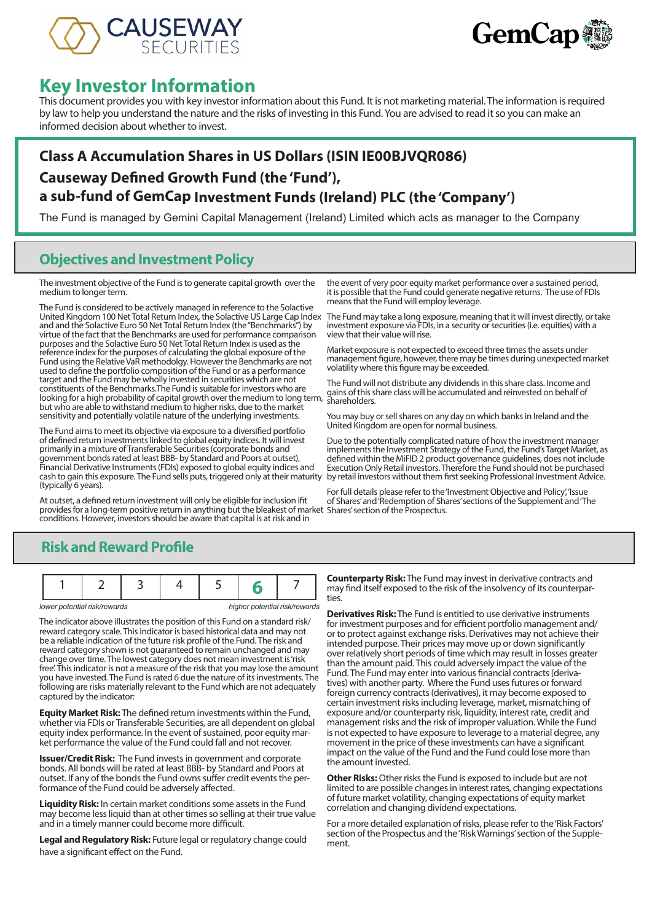



# **Key Investor Information**

This document provides you with key investor information about this Fund. It is not marketing material. The information is required by law to help you understand the nature and the risks of investing in this Fund. You are advised to read it so you can make an informed decision about whether to invest.

# **Class A Accumulation Shares in US Dollars (ISIN IE00BJVQR086) Causeway Defined Growth Fund (the 'Fund'), a sub-fund of GemCap Investment Funds (Ireland) PLC (the 'Company')**

The Fund is managed by Gemini Capital Management (Ireland) Limited which acts as manager to the Company

## **Objectives and Investment Policy**

The investment objective of the Fund is to generate capital growth over the medium to longer term.

The Fund is considered to be actively managed in reference to the Solactive United Kingdom 100 Net Total Return Index, the Solactive US Large Cap Index and and the Solactive Euro 50 Net Total Return Index (the "Benchmarks") by virtue of the fact that the Benchmarks are used for performance comparison purposes and the Solactive Euro 50 Net Total Return Index is used as the reference index for the purposes of calculating the global exposure of the Fund using the Relative VaR methodolgy. However the Benchmarks are not used to define the portfolio composition of the Fund or as a performance target and the Fund may be wholly invested in securities which are not constituents of the Benchmarks.The Fund is suitable for investors who are looking for a high probability of capital growth over the medium to long term, but who are able to withstand medium to higher risks, due to the market sensitivity and potentially volatile nature of the underlying investments.

The Fund aims to meet its objective via exposure to a diversified portfolio of defined return investments linked to global equity indices. It will invest primarily in a mixture of Transferable Securities (corporate bonds and government bonds rated at least BBB- by Standard and Poors at outset), Financial Derivative Instruments (FDIs) exposed to global equity indices and cash to gain this exposure. The Fund sells puts, triggered only at their maturity (typically 6 years).

At outset, a defined return investment will only be eligible for inclusion ifit provides for a long-term positive return in anything but the bleakest of market Shares' section of the Prospectus. conditions. However, investors should be aware that capital is at risk and in

the event of very poor equity market performance over a sustained period, it is possible that the Fund could generate negative returns. The use of FDIs means that the Fund will employ leverage.

The Fund may take a long exposure, meaning that it will invest directly, or take investment exposure via FDIs, in a security or securities (i.e. equities) with a view that their value will rise.

Market exposure is not expected to exceed three times the assets under management figure, however, there may be times during unexpected market volatility where this figure may be exceeded.

The Fund will not distribute any dividends in this share class. Income and gains of this share class will be accumulated and reinvested on behalf of shareholders.

You may buy or sell shares on any day on which banks in Ireland and the United Kingdom are open for normal business.

Due to the potentially complicated nature of how the investment manager implements the Investment Strategy of the Fund, the Fund's Target Market, as defined within the MiFID 2 product governance guidelines, does not include Execution Only Retail investors. Therefore the Fund should not be purchased by retail investors without them first seeking Professional Investment Advice.

For full details please refer to the 'Investment Objective and Policy', 'Issue of Shares' and 'Redemption of Shares' sections of the Supplement and 'The

# **Risk and Reward Profile**

|--|--|--|--|--|

*lower potential risk/rewards higher potential risk/rewards*

The indicator above illustrates the position of this Fund on a standard risk/ reward category scale. This indicator is based historical data and may not be a reliable indication of the future risk profile of the Fund. The risk and reward category shown is not guaranteed to remain unchanged and may change over time. The lowest category does not mean investment is 'risk free'. This indicator is not a measure of the risk that you may lose the amount you have invested. The Fund is rated 6 due the nature of its investments. The following are risks materially relevant to the Fund which are not adequately captured by the indicator:

**Equity Market Risk:** The defined return investments within the Fund, whether via FDIs or Transferable Securities, are all dependent on global equity index performance. In the event of sustained, poor equity market performance the value of the Fund could fall and not recover.

**Issuer/Credit Risk:** The Fund invests in government and corporate bonds. All bonds will be rated at least BBB- by Standard and Poors at outset. If any of the bonds the Fund owns suffer credit events the performance of the Fund could be adversely affected.

**Liquidity Risk:** In certain market conditions some assets in the Fund may become less liquid than at other times so selling at their true value and in a timely manner could become more difficult.

**Legal and Regulatory Risk:** Future legal or regulatory change could have a significant effect on the Fund.

**Counterparty Risk:** The Fund may invest in derivative contracts and may find itself exposed to the risk of the insolvency of its counterpar- ties.

**Derivatives Risk:** The Fund is entitled to use derivative instruments for investment purposes and for efficient portfolio management and/ or to protect against exchange risks. Derivatives may not achieve their intended purpose. Their prices may move up or down significantly over relatively short periods of time which may result in losses greater than the amount paid. This could adversely impact the value of the Fund. The Fund may enter into various financial contracts (derivatives) with another party. Where the Fund uses futures or forward foreign currency contracts (derivatives), it may become exposed to certain investment risks including leverage, market, mismatching of exposure and/or counterparty risk, liquidity, interest rate, credit and management risks and the risk of improper valuation. While the Fund is not expected to have exposure to leverage to a material degree, any movement in the price of these investments can have a significant impact on the value of the Fund and the Fund could lose more than the amount invested.

**Other Risks:** Other risks the Fund is exposed to include but are not limited to are possible changes in interest rates, changing expectations of future market volatility, changing expectations of equity market correlation and changing dividend expectations.

For a more detailed explanation of risks, please refer to the 'Risk Factors' section of the Prospectus and the 'Risk Warnings' section of the Supplement.